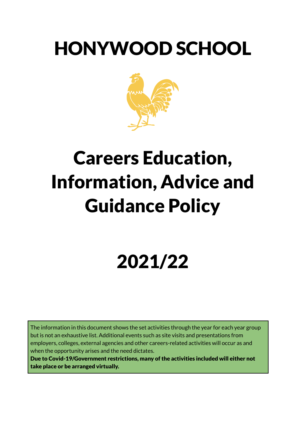# HONYWOOD SCHOOL



# Careers Education, Information, Advice and Guidance Policy

# 2021/22

The information in this document shows the set activities through the year for each year group but is not an exhaustive list. Additional events such as site visits and presentations from employers, colleges, external agencies and other careers-related activities will occur as and when the opportunity arises and the need dictates.

Due to Covid-19/Government restrictions, many of the activities included will either not take place or be arranged virtually.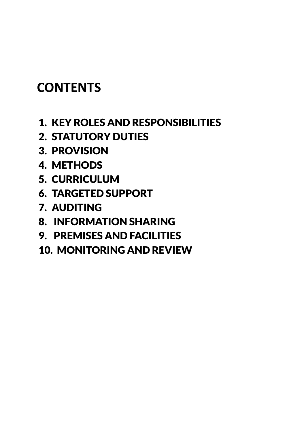# **CONTENTS**

- 1. KEY ROLES AND RESPONSIBILITIES
- 2. STATUTORY DUTIES
- 3. PROVISION
- 4. METHODS
- 5. CURRICULUM
- 6. TARGETED SUPPORT
- 7. AUDITING
- 8. INFORMATION SHARING
- 9. PREMISES AND FACILITIES
- 10. MONITORING AND REVIEW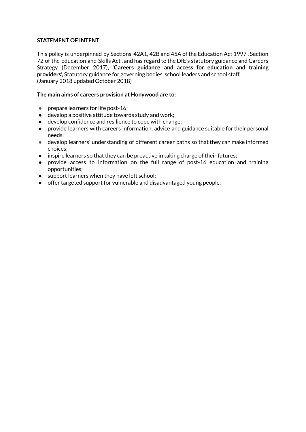### **STATEMENT OF INTENT**

This policy is underpinned by Sections 42A1, 42B and 45A of the Education Act 1997 , Section 72 of the Education and Skills Act , and has regard to the DfE's statutory guidance and Careers Strategy (December 2017), '**Careers guidance and access for education and training providers',** Statutory guidance for governing bodies, school leaders and school staff. (January 2018 updated October 2018)

#### **The main aims of careers provision at Honywood are to:**

- prepare learners for life post-16;
- develop a positive attitude towards study and work;
- develop confidence and resilience to cope with change;
- provide learners with careers information, advice and guidance suitable for their personal needs;
- develop learners' understanding of different career paths so that they can make informed choices;
- inspire learners so that they can be proactive in taking charge of their futures;
- provide access to information on the full range of post-16 education and training opportunities;
- support learners when they have left school;
- offer targeted support for vulnerable and disadvantaged young people.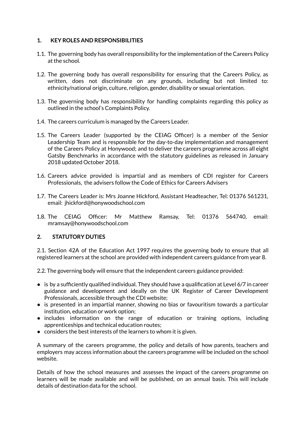### **1. KEY ROLES AND RESPONSIBILITIES**

- 1.1. The governing body has overall responsibility for the implementation of the Careers Policy at the school.
- 1.2. The governing body has overall responsibility for ensuring that the Careers Policy, as written, does not discriminate on any grounds, including but not limited to: ethnicity/national origin, culture, religion, gender, disability or sexual orientation.
- 1.3. The governing body has responsibility for handling complaints regarding this policy as outlined in the school's Complaints Policy.
- 1.4. The careers curriculum is managed by the Careers Leader.
- 1.5. The Careers Leader (supported by the CEIAG Officer) is a member of the Senior Leadership Team and is responsible for the day-to-day implementation and management of the Careers Policy at Honywood; and to deliver the careers programme across all eight Gatsby Benchmarks in accordance with the statutory guidelines as released in January 2018 updated October 2018.
- 1.6. Careers advice provided is impartial and as members of CDI register for Careers Professionals, the advisers follow the Code of Ethics for Careers Advisers
- 1.7. The Careers Leader is: Mrs Joanne Hickford, Assistant Headteacher, Tel: 01376 561231, email: jhickford@honywoodschool.com
- 1.8. The CEIAG Officer: Mr Matthew Ramsay, Tel: 01376 564740, email: mramsay@honywoodschool.com

# **2. STATUTORY DUTIES**

2.1. Section 42A of the Education Act 1997 requires the governing body to ensure that all registered learners at the school are provided with independent careers guidance from year 8.

2.2. The governing body will ensure that the independent careers guidance provided:

- $\bullet$  is by a sufficiently qualified individual. They should have a qualification at Level 6/7 in career guidance and development and ideally on the UK Register of Career Development Professionals, accessible through the CDI website;
- is presented in an impartial manner, showing no bias or favouritism towards a particular institution, education or work option;
- includes information on the range of education or training options, including apprenticeships and technical education routes;
- considers the best interests of the learners to whom it is given.

A summary of the careers programme, the policy and details of how parents, teachers and employers may access information about the careers programme will be included on the school website.

Details of how the school measures and assesses the impact of the careers programme on learners will be made available and will be published, on an annual basis. This will include details of destination data for the school.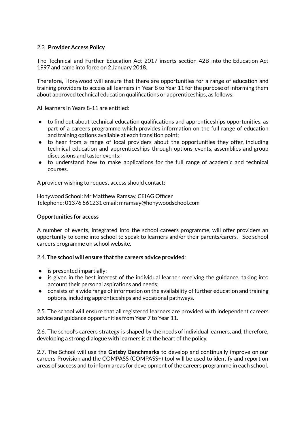### 2.3 **Provider Access Policy**

The Technical and Further Education Act 2017 inserts section 42B into the Education Act 1997 and came into force on 2 January 2018.

Therefore, Honywood will ensure that there are opportunities for a range of education and training providers to access all learners in Year 8 to Year 11 for the purpose of informing them about approved technical education qualifications or apprenticeships, as follows:

All learners in Years 8-11 are entitled:

- to find out about technical education qualifications and apprenticeships opportunities, as part of a careers programme which provides information on the full range of education and training options available at each transition point;
- to hear from a range of local providers about the opportunities they offer, including technical education and apprenticeships through options events, assemblies and group discussions and taster events;
- to understand how to make applications for the full range of academic and technical courses.

A provider wishing to request access should contact:

Honywood School: Mr Matthew Ramsay, CEIAG Officer Telephone: 01376 561231 email: mramsay@honywoodschool.com

#### **Opportunities for access**

A number of events, integrated into the school careers programme, will offer providers an opportunity to come into school to speak to learners and/or their parents/carers. See school careers programme on school website.

#### 2.4. **The school will ensure thatthe careers advice provided**:

- $\bullet$  is presented impartially;
- is given in the best interest of the individual learner receiving the guidance, taking into account their personal aspirations and needs;
- consists of a wide range of information on the availability of further education and training options, including apprenticeships and vocational pathways.

2.5. The school will ensure that all registered learners are provided with independent careers advice and guidance opportunities from Year 7 to Year 11.

2.6. The school's careers strategy is shaped by the needs of individual learners, and, therefore, developing a strong dialogue with learners is at the heart of the policy.

2.7. The School will use the **Gatsby Benchmarks** to develop and continually improve on our careers Provision and the COMPASS (COMPASS+) tool will be used to identify and report on areas of success and to inform areas for development of the careers programme in each school.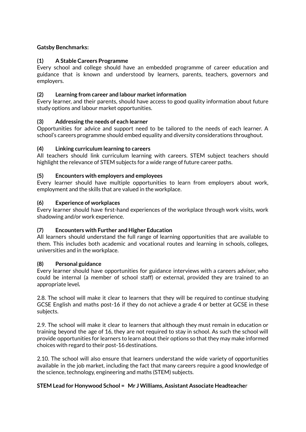# **Gatsby Benchmarks:**

# **(1) A Stable Careers Programme**

Every school and college should have an embedded programme of career education and guidance that is known and understood by learners, parents, teachers, governors and employers.

# **(2) Learning from career and labour marketinformation**

Every learner, and their parents, should have access to good quality information about future study options and labour market opportunities.

# **(3) Addressing the needs of each learner**

Opportunities for advice and support need to be tailored to the needs of each learner. A school's careers programme should embed equality and diversity considerations throughout.

### **(4) Linking curriculum learning to careers**

All teachers should link curriculum learning with careers. STEM subject teachers should highlight the relevance of STEM subjects for a wide range of future career paths.

### **(5) Encounters with employers and employees**

Every learner should have multiple opportunities to learn from employers about work, employment and the skills that are valued in the workplace.

### **(6) Experience of workplaces**

Every learner should have first-hand experiences of the workplace through work visits, work shadowing and/or work experience.

# **(7) Encounters with Further and Higher Education**

All learners should understand the full range of learning opportunities that are available to them. This includes both academic and vocational routes and learning in schools, colleges, universities and in the workplace.

#### **(8) Personal guidance**

Every learner should have opportunities for guidance interviews with a careers adviser, who could be internal (a member of school staff) or external, provided they are trained to an appropriate level**.**

2.8. The school will make it clear to learners that they will be required to continue studying GCSE English and maths post-16 if they do not achieve a grade 4 or better at GCSE in these subjects.

2.9. The school will make it clear to learners that although they must remain in education or training beyond the age of 16, they are not required to stay in school. As such the school will provide opportunities for learners to learn about their options so that they may make informed choices with regard to their post-16 destinations.

2.10. The school will also ensure that learners understand the wide variety of opportunities available in the job market, including the fact that many careers require a good knowledge of the science, technology, engineering and maths (STEM) subjects.

# **STEM Lead for Honywood School = Mr J Williams, Assistant Associate Headteache**r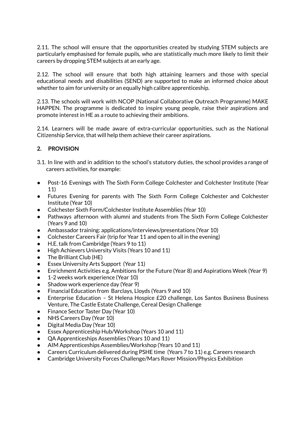2.11. The school will ensure that the opportunities created by studying STEM subjects are particularly emphasised for female pupils, who are statistically much more likely to limit their careers by dropping STEM subjects at an early age.

2.12. The school will ensure that both high attaining learners and those with special educational needs and disabilities (SEND) are supported to make an informed choice about whether to aim for university or an equally high calibre apprenticeship.

2.13. The schools will work with NCOP (National Collaborative Outreach Programme) MAKE HAPPEN. The programme is dedicated to inspire young people, raise their aspirations and promote interest in HE as a route to achieving their ambitions.

2.14. Learners will be made aware of extra-curricular opportunities, such as the National Citizenship Service, that will help them achieve their career aspirations.

### **2. PROVISION**

- 3.1. In line with and in addition to the school's statutory duties, the school provides a range of careers activities, for example:
- Post-16 Evenings with The Sixth Form College Colchester and Colchester Institute (Year 11)
- Futures Evening for parents with The Sixth Form College Colchester and Colchester Institute (Year 10)
- Colchester Sixth Form/Colchester Institute Assemblies (Year 10)
- Pathways afternoon with alumni and students from The Sixth Form College Colchester (Years 9 and 10)
- Ambassador training: applications/interviews/presentations (Year 10)
- Colchester Careers Fair (trip for Year 11 and open to all in the evening)
- H.E. talk from Cambridge (Years 9 to 11)
- High Achievers University Visits (Years 10 and 11)
- The Brilliant Club (HE)
- Essex University Arts Support (Year 11)
- Enrichment Activities e.g. Ambitions for the Future (Year 8) and Aspirations Week (Year 9)
- 1-2 weeks work experience (Year 10)
- Shadow work experience day (Year 9)
- Financial Education from Barclays, Lloyds (Years 9 and 10)
- Enterprise Education St Helena Hospice £20 challenge, Los Santos Business Business Venture, The Castle Estate Challenge, Cereal Design Challenge
- Finance Sector Taster Day (Year 10)
- NHS Careers Day (Year 10)
- Digital Media Day (Year 10)
- Essex Apprenticeship Hub/Workshop (Years 10 and 11)
- QA Apprenticeships Assemblies (Years 10 and 11)
- AIM Apprenticeships Assemblies/Workshop (Years 10 and 11)
- Careers Curriculum delivered during PSHE time (Years 7 to 11) e.g. Careers research
- Cambridge University Forces Challenge/Mars Rover Mission/Physics Exhibition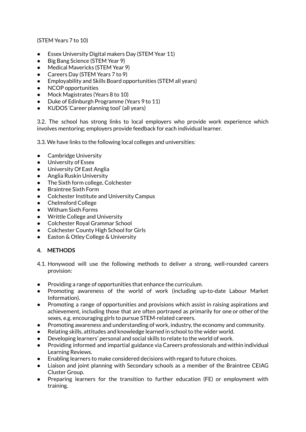(STEM Years 7 to 10)

- Essex University Digital makers Day (STEM Year 11)
- Big Bang Science (STEM Year 9)
- Medical Mavericks (STEM Year 9)
- Careers Day (STEM Years 7 to 9)
- Employability and Skills Board opportunities (STEM all years)
- NCOP opportunities
- Mock Magistrates (Years 8 to 10)
- Duke of Edinburgh Programme (Years 9 to 11)
- KUDOS 'Career planning tool' (all years)

3.2. The school has strong links to local employers who provide work experience which involves mentoring; employers provide feedback for each individual learner.

3.3. We have links to the following local colleges and universities:

- Cambridge University
- University of Essex
- University Of East Anglia
- Anglia Ruskin University
- The Sixth form college, Colchester
- **Braintree Sixth Form**
- Colchester Institute and University Campus
- Chelmsford College
- Witham Sixth Forms
- Writtle College and University
- Colchester Royal Grammar School
- Colchester County High School for Girls
- Easton & Otley College & University

# **4. METHODS**

- 4.1. Honywood will use the following methods to deliver a strong, well-rounded careers provision:
- Providing a range of opportunities that enhance the curriculum.
- Promoting awareness of the world of work (including up-to-date Labour Market Information).
- Promoting a range of opportunities and provisions which assist in raising aspirations and achievement, including those that are often portrayed as primarily for one or other of the sexes, e.g. encouraging girls to pursue STEM-related careers.
- Promoting awareness and understanding of work, industry, the economy and community.
- Relating skills, attitudes and knowledge learned in school to the wider world.
- Developing learners' personal and social skills to relate to the world of work.
- Providing informed and impartial guidance via Careers professionals and within individual Learning Reviews.
- Enabling learners to make considered decisions with regard to future choices.
- Liaison and joint planning with Secondary schools as a member of the Braintree CEIAG Cluster Group.
- Preparing learners for the transition to further education (FE) or employment with training.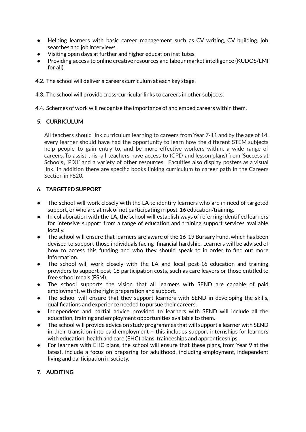- Helping learners with basic career management such as CV writing, CV building, job searches and job interviews.
- Visiting open days at further and higher education institutes.
- Providing access to online creative resources and labour market intelligence (KUDOS/LMI for all).
- 4.2. The school will deliver a careers curriculum at each key stage.
- 4.3. The school will provide cross-curricular links to careers in other subjects.

4.4. Schemes of work will recognise the importance of and embed careers within them.

### **5. CURRICULUM**

All teachers should link curriculum learning to careers from Year 7-11 and by the age of 14, every learner should have had the opportunity to learn how the different STEM subjects help people to gain entry to, and be more effective workers within, a wide range of careers. To assist this, all teachers have access to (CPD and lesson plans) from 'Success at Schools', 'PiXL' and a variety of other resources. Faculties also display posters as a visual link. In addition there are specific books linking curriculum to career path in the Careers Section in FS20.

# **6. TARGETED SUPPORT**

- The school will work closely with the LA to identify learners who are in need of targeted support, or who are at risk of not participating in post-16 education/training.
- In collaboration with the LA, the school will establish ways of referring identified learners for intensive support from a range of education and training support services available locally.
- The school will ensure that learners are aware of the 16-19 Bursary Fund, which has been devised to support those individuals facing financial hardship. Learners will be advised of how to access this funding and who they should speak to in order to find out more information.
- The school will work closely with the LA and local post-16 education and training providers to support post-16 participation costs, such as care leavers or those entitled to free school meals (FSM).
- The school supports the vision that all learners with SEND are capable of paid employment, with the right preparation and support.
- The school will ensure that they support learners with SEND in developing the skills, qualifications and experience needed to pursue their careers.
- Independent and partial advice provided to learners with SEND will include all the education, training and employment opportunities available to them.
- The school will provide advice on study programmes that will support a learner with SEND in their transition into paid employment – this includes support internships for learners with education, health and care (EHC) plans, traineeships and apprenticeships.
- For learners with EHC plans, the school will ensure that these plans, from Year 9 at the latest, include a focus on preparing for adulthood, including employment, independent living and participation in society.

# **7. AUDITING**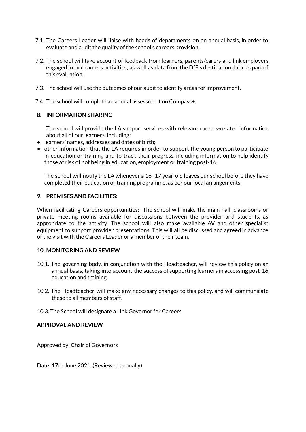- 7.1. The Careers Leader will liaise with heads of departments on an annual basis, in order to evaluate and audit the quality of the school's careers provision.
- 7.2. The school will take account of feedback from learners, parents/carers and link employers engaged in our careers activities, as well as data from the DfE's destination data, as part of this evaluation.
- 7.3. The school will use the outcomes of our audit to identify areas for improvement.
- 7.4. The school will complete an annual assessment on Compass+.

#### **8. INFORMATION SHARING**

The school will provide the LA support services with relevant careers-related information about all of our learners, including:

- learners' names, addresses and dates of birth;
- other information that the LA requires in order to support the young person to participate in education or training and to track their progress, including information to help identify those at risk of not being in education, employment or training post-16.

The school will notify the LA whenever a 16- 17 year-old leaves our school before they have completed their education or training programme, as per our local arrangements.

#### **9. PREMISES AND FACILITIES:**

When facilitating Careers opportunities: The school will make the main hall, classrooms or private meeting rooms available for discussions between the provider and students, as appropriate to the activity. The school will also make available AV and other specialist equipment to support provider presentations. This will all be discussed and agreed in advance of the visit with the Careers Leader or a member of their team.

#### **10. MONITORING AND REVIEW**

- 10.1. The governing body, in conjunction with the Headteacher, will review this policy on an annual basis, taking into account the success of supporting learners in accessing post-16 education and training.
- 10.2. The Headteacher will make any necessary changes to this policy, and will communicate these to all members of staff.
- 10.3. The School will designate a Link Governor for Careers.

#### **APPROVAL AND REVIEW**

Approved by: Chair of Governors

Date: 17th June 2021 (Reviewed annually)